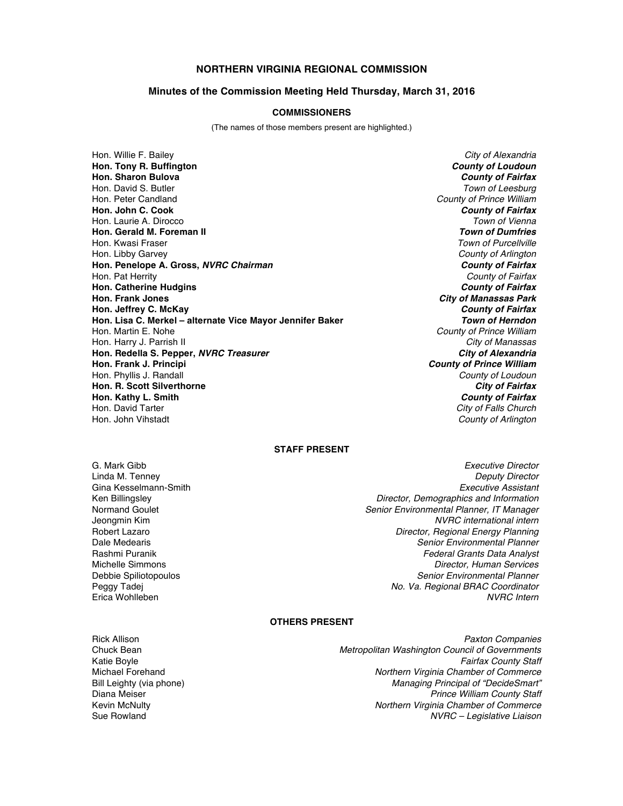# **NORTHERN VIRGINIA REGIONAL COMMISSION**

#### **Minutes of the Commission Meeting Held Thursday, March 31, 2016**

#### **COMMISSIONERS**

(The names of those members present are highlighted.)

Hon. Willie F. Bailey *City of Alexandria* **Hon. Tony R. Buffington** *County of Loudoun* **Hon. Sharon Bulova** *County of Fairfax* Hon. David S. Butler *Town of Leesburg* Hon. Peter Candland *County of Prince William* **Hon. John C. Cook** *County of Fairfax* Hon. Laurie A. Dirocco *Town of Vienna* **Hon. Gerald M. Foreman II**<br>Hon. Kwasi Fraser Hon. Libby Garvey *County of Arlington* **Hon. Penelope A. Gross,** *NVRC Chairman County of Fairfax* Hon. Pat Herrity *County of Fairfax* **Hon. Catherine Hudgins** *County of Fairfax* **Hon. Frank Jones** *City of Manassas Park* **Hon. Jeffrey C. McKay** *County of Fairfax* **Hon. Lisa C. Merkel – alternate Vice Mayor Jennifer Baker** Hon. Martin E. Nohe *County of Prince William* Hon. Harry J. Parrish II *City of Manassas* **Hon. Redella S. Pepper,** *NVRC Treasurer* **Hon. Frank J. Principi** *County of Prince William* Hon. Phyllis J. Randall *County of Loudoun* **Hon. R. Scott Silverthorne** *City of Fairfax* **Hon. Kathy L. Smith** *County of Fairfax* Hon. John Vihstadt *County of Arlington*

**Town of Purcellville City of Falls Church** 

#### **STAFF PRESENT**

- Gina Kesselmann-Smith<br>Ken Billingsley
- G. Mark Gibb *Executive Director* Linda M. Tenney *Deputy Director* Ken Billingsley *Director, Demographics and Information* Normand Goulet *Senior Environmental Planner, IT Manager*  $NVRC$  international intern Robert Lazaro *Director, Regional Energy Planning* Dale Medearis *Senior Environmental Planner* Rashmi Puranik *Federal Grants Data Analyst* **Director, Human Services** Debbie Spiliotopoulos *Senior Environmental Planner* Peggy Tadej *No. Va. Regional BRAC Coordinator* Erica Wohlleben *NVRC Intern*

## **OTHERS PRESENT**

Rick Allison *Paxton Companies* Chuck Bean *Metropolitan Washington Council of Governments* Katie Boyle *Fairfax County Staff* Michael Forehand *Northern Virginia Chamber of Commerce* Bill Leighty (via phone) *Managing Principal of "DecideSmart"* Diana Meiser *Prince William County Staff* **Northern Virginia Chamber of Commerce** Sue Rowland *NVRC – Legislative Liaison*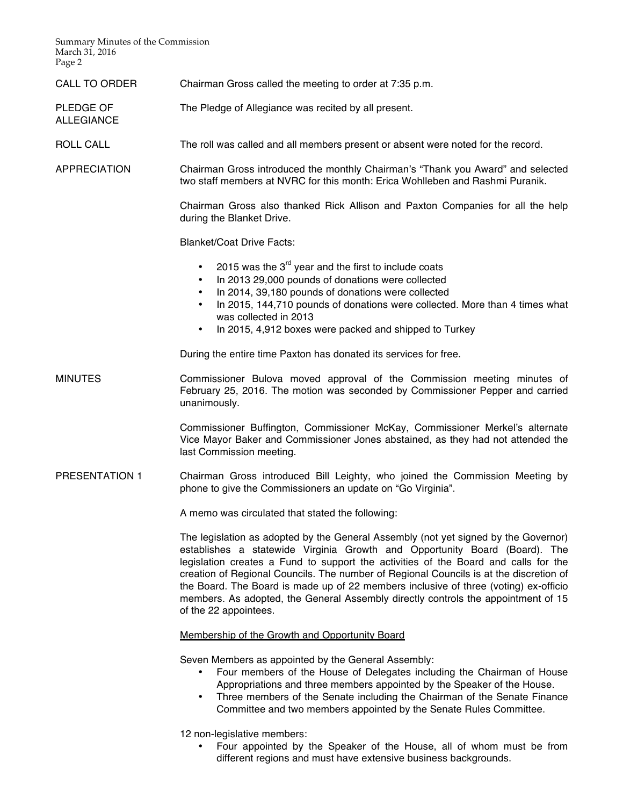Summary Minutes of the Commission March 31, 2016 Page 2

ALLEGIANCE

CALL TO ORDER Chairman Gross called the meeting to order at 7:35 p.m.

PLEDGE OF The Pledge of Allegiance was recited by all present.

ROLL CALL The roll was called and all members present or absent were noted for the record.

APPRECIATION Chairman Gross introduced the monthly Chairman's "Thank you Award" and selected two staff members at NVRC for this month: Erica Wohlleben and Rashmi Puranik.

> Chairman Gross also thanked Rick Allison and Paxton Companies for all the help during the Blanket Drive.

Blanket/Coat Drive Facts:

- 2015 was the  $3^{rd}$  year and the first to include coats
- In 2013 29,000 pounds of donations were collected
- In 2014, 39,180 pounds of donations were collected
- In 2015, 144,710 pounds of donations were collected. More than 4 times what was collected in 2013
- In 2015, 4,912 boxes were packed and shipped to Turkey

During the entire time Paxton has donated its services for free.

MINUTES Commissioner Bulova moved approval of the Commission meeting minutes of February 25, 2016. The motion was seconded by Commissioner Pepper and carried unanimously.

> Commissioner Buffington, Commissioner McKay, Commissioner Merkel's alternate Vice Mayor Baker and Commissioner Jones abstained, as they had not attended the last Commission meeting.

PRESENTATION 1 Chairman Gross introduced Bill Leighty, who joined the Commission Meeting by phone to give the Commissioners an update on "Go Virginia".

A memo was circulated that stated the following:

The legislation as adopted by the General Assembly (not yet signed by the Governor) establishes a statewide Virginia Growth and Opportunity Board (Board). The legislation creates a Fund to support the activities of the Board and calls for the creation of Regional Councils. The number of Regional Councils is at the discretion of the Board. The Board is made up of 22 members inclusive of three (voting) ex-officio members. As adopted, the General Assembly directly controls the appointment of 15 of the 22 appointees.

Membership of the Growth and Opportunity Board

Seven Members as appointed by the General Assembly:

- Four members of the House of Delegates including the Chairman of House Appropriations and three members appointed by the Speaker of the House.
- Three members of the Senate including the Chairman of the Senate Finance Committee and two members appointed by the Senate Rules Committee.

12 non-legislative members:

• Four appointed by the Speaker of the House, all of whom must be from different regions and must have extensive business backgrounds.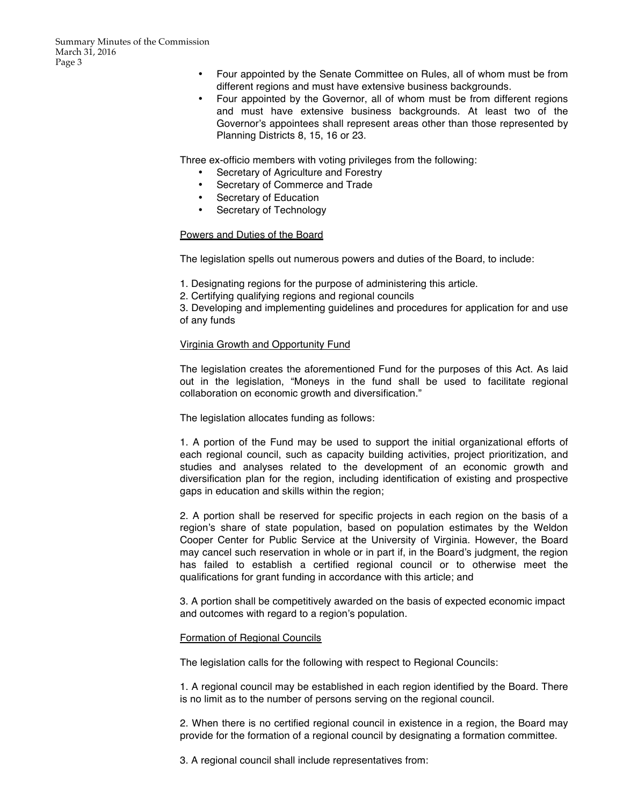- Four appointed by the Senate Committee on Rules, all of whom must be from different regions and must have extensive business backgrounds.
- Four appointed by the Governor, all of whom must be from different regions and must have extensive business backgrounds. At least two of the Governor's appointees shall represent areas other than those represented by Planning Districts 8, 15, 16 or 23.

Three ex-officio members with voting privileges from the following:

- Secretary of Agriculture and Forestry
- Secretary of Commerce and Trade
- Secretary of Education
- Secretary of Technology

# Powers and Duties of the Board

The legislation spells out numerous powers and duties of the Board, to include:

1. Designating regions for the purpose of administering this article.

2. Certifying qualifying regions and regional councils

3. Developing and implementing guidelines and procedures for application for and use of any funds

# Virginia Growth and Opportunity Fund

The legislation creates the aforementioned Fund for the purposes of this Act. As laid out in the legislation, "Moneys in the fund shall be used to facilitate regional collaboration on economic growth and diversification."

The legislation allocates funding as follows:

1. A portion of the Fund may be used to support the initial organizational efforts of each regional council, such as capacity building activities, project prioritization, and studies and analyses related to the development of an economic growth and diversification plan for the region, including identification of existing and prospective gaps in education and skills within the region;

2. A portion shall be reserved for specific projects in each region on the basis of a region's share of state population, based on population estimates by the Weldon Cooper Center for Public Service at the University of Virginia. However, the Board may cancel such reservation in whole or in part if, in the Board's judgment, the region has failed to establish a certified regional council or to otherwise meet the qualifications for grant funding in accordance with this article; and

3. A portion shall be competitively awarded on the basis of expected economic impact and outcomes with regard to a region's population.

# Formation of Regional Councils

The legislation calls for the following with respect to Regional Councils:

1. A regional council may be established in each region identified by the Board. There is no limit as to the number of persons serving on the regional council.

2. When there is no certified regional council in existence in a region, the Board may provide for the formation of a regional council by designating a formation committee.

3. A regional council shall include representatives from: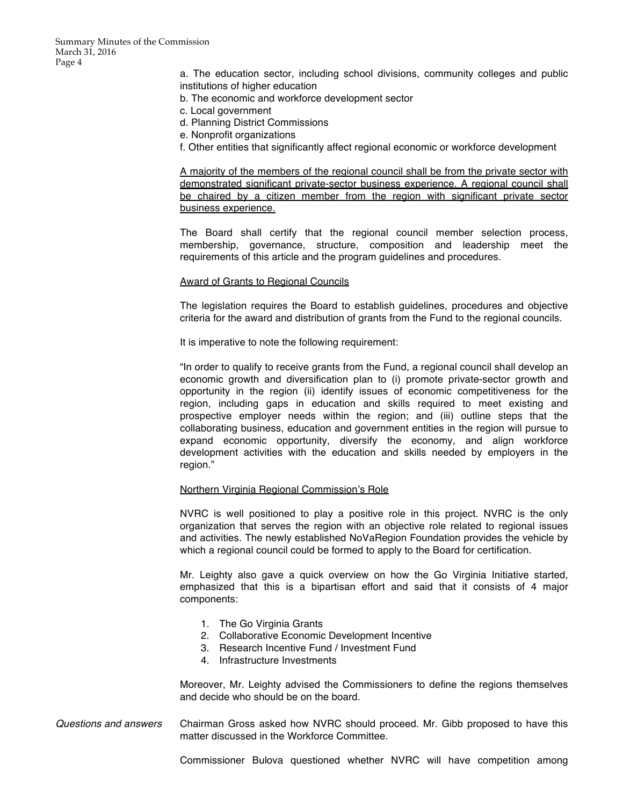a. The education sector, including school divisions, community colleges and public institutions of higher education

- b. The economic and workforce development sector
- c. Local government
- d. Planning District Commissions
- e. Nonprofit organizations
- f. Other entities that significantly affect regional economic or workforce development

A majority of the members of the regional council shall be from the private sector with demonstrated significant private-sector business experience. A regional council shall be chaired by a citizen member from the region with significant private sector business experience.

The Board shall certify that the regional council member selection process, membership, governance, structure, composition and leadership meet the requirements of this article and the program guidelines and procedures.

#### Award of Grants to Regional Councils

The legislation requires the Board to establish guidelines, procedures and objective criteria for the award and distribution of grants from the Fund to the regional councils.

It is imperative to note the following requirement:

"In order to qualify to receive grants from the Fund, a regional council shall develop an economic growth and diversification plan to (i) promote private-sector growth and opportunity in the region (ii) identify issues of economic competitiveness for the region, including gaps in education and skills required to meet existing and prospective employer needs within the region; and (iii) outline steps that the collaborating business, education and government entities in the region will pursue to expand economic opportunity, diversify the economy, and align workforce development activities with the education and skills needed by employers in the region."

#### Northern Virginia Regional Commission's Role

NVRC is well positioned to play a positive role in this project. NVRC is the only organization that serves the region with an objective role related to regional issues and activities. The newly established NoVaRegion Foundation provides the vehicle by which a regional council could be formed to apply to the Board for certification.

Mr. Leighty also gave a quick overview on how the Go Virginia Initiative started, emphasized that this is a bipartisan effort and said that it consists of 4 major components:

- 1. The Go Virginia Grants
- 2. Collaborative Economic Development Incentive
- 3. Research Incentive Fund / Investment Fund
- 4. Infrastructure Investments

Moreover, Mr. Leighty advised the Commissioners to define the regions themselves and decide who should be on the board.

*Questions and answers* Chairman Gross asked how NVRC should proceed. Mr. Gibb proposed to have this matter discussed in the Workforce Committee.

Commissioner Bulova questioned whether NVRC will have competition among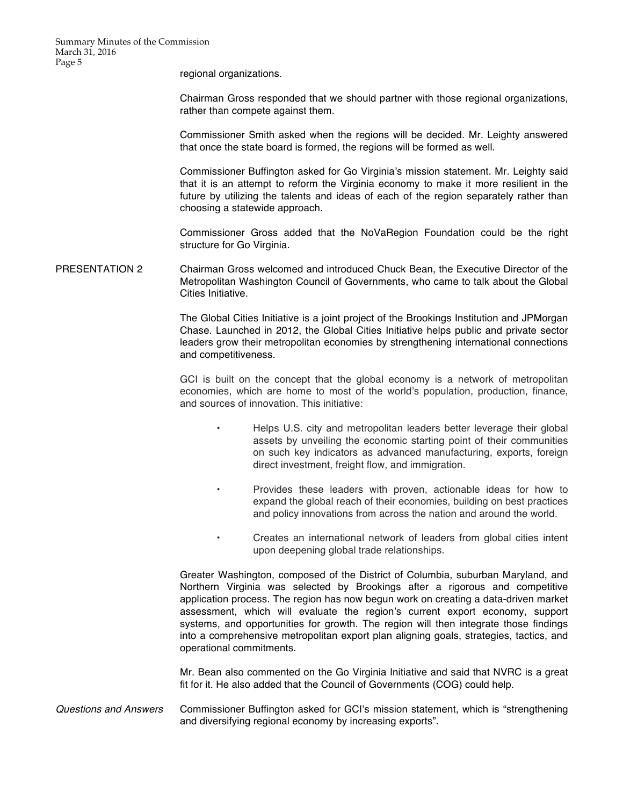regional organizations.

Chairman Gross responded that we should partner with those regional organizations, rather than compete against them.

Commissioner Smith asked when the regions will be decided. Mr. Leighty answered that once the state board is formed, the regions will be formed as well.

Commissioner Buffington asked for Go Virginia's mission statement. Mr. Leighty said that it is an attempt to reform the Virginia economy to make it more resilient in the future by utilizing the talents and ideas of each of the region separately rather than choosing a statewide approach.

Commissioner Gross added that the NoVaRegion Foundation could be the right structure for Go Virginia.

PRESENTATION 2 Chairman Gross welcomed and introduced Chuck Bean, the Executive Director of the Metropolitan Washington Council of Governments, who came to talk about the Global Cities Initiative.

> The Global Cities Initiative is a joint project of the Brookings Institution and JPMorgan Chase. Launched in 2012, the Global Cities Initiative helps public and private sector leaders grow their metropolitan economies by strengthening international connections and competitiveness.

> GCI is built on the concept that the global economy is a network of metropolitan economies, which are home to most of the world's population, production, finance, and sources of innovation. This initiative:

- Helps U.S. city and metropolitan leaders better leverage their global assets by unveiling the economic starting point of their communities on such key indicators as advanced manufacturing, exports, foreign direct investment, freight flow, and immigration.
- Provides these leaders with proven, actionable ideas for how to expand the global reach of their economies, building on best practices and policy innovations from across the nation and around the world.
	- Creates an international network of leaders from global cities intent upon deepening global trade relationships.

Greater Washington, composed of the District of Columbia, suburban Maryland, and Northern Virginia was selected by Brookings after a rigorous and competitive application process. The region has now begun work on creating a data-driven market assessment, which will evaluate the region's current export economy, support systems, and opportunities for growth. The region will then integrate those findings into a comprehensive metropolitan export plan aligning goals, strategies, tactics, and operational commitments.

Mr. Bean also commented on the Go Virginia Initiative and said that NVRC is a great fit for it. He also added that the Council of Governments (COG) could help.

*Questions and Answers* Commissioner Buffington asked for GCI's mission statement, which is "strengthening and diversifying regional economy by increasing exports".